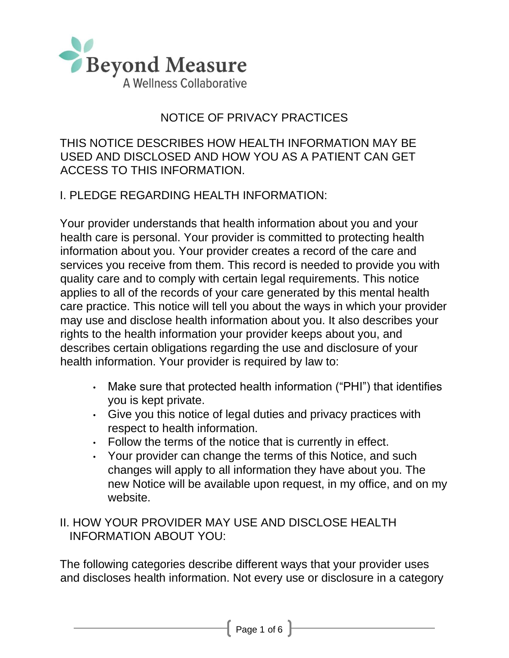

# NOTICE OF PRIVACY PRACTICES

THIS NOTICE DESCRIBES HOW HEALTH INFORMATION MAY BE USED AND DISCLOSED AND HOW YOU AS A PATIENT CAN GET ACCESS TO THIS INFORMATION.

### I. PLEDGE REGARDING HEALTH INFORMATION:

Your provider understands that health information about you and your health care is personal. Your provider is committed to protecting health information about you. Your provider creates a record of the care and services you receive from them. This record is needed to provide you with quality care and to comply with certain legal requirements. This notice applies to all of the records of your care generated by this mental health care practice. This notice will tell you about the ways in which your provider may use and disclose health information about you. It also describes your rights to the health information your provider keeps about you, and describes certain obligations regarding the use and disclosure of your health information. Your provider is required by law to:

- Make sure that protected health information ("PHI") that identifies you is kept private.
- Give you this notice of legal duties and privacy practices with respect to health information.
- Follow the terms of the notice that is currently in effect.
- Your provider can change the terms of this Notice, and such changes will apply to all information they have about you. The new Notice will be available upon request, in my office, and on my website.

### II. HOW YOUR PROVIDER MAY USE AND DISCLOSE HEALTH INFORMATION ABOUT YOU:

The following categories describe different ways that your provider uses and discloses health information. Not every use or disclosure in a category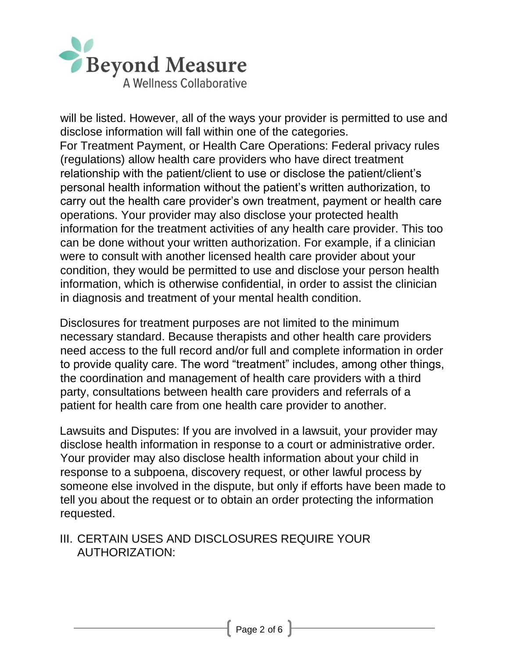

will be listed. However, all of the ways your provider is permitted to use and disclose information will fall within one of the categories. For Treatment Payment, or Health Care Operations: Federal privacy rules (regulations) allow health care providers who have direct treatment relationship with the patient/client to use or disclose the patient/client's personal health information without the patient's written authorization, to carry out the health care provider's own treatment, payment or health care operations. Your provider may also disclose your protected health information for the treatment activities of any health care provider. This too can be done without your written authorization. For example, if a clinician were to consult with another licensed health care provider about your condition, they would be permitted to use and disclose your person health information, which is otherwise confidential, in order to assist the clinician in diagnosis and treatment of your mental health condition.

Disclosures for treatment purposes are not limited to the minimum necessary standard. Because therapists and other health care providers need access to the full record and/or full and complete information in order to provide quality care. The word "treatment" includes, among other things, the coordination and management of health care providers with a third party, consultations between health care providers and referrals of a patient for health care from one health care provider to another.

Lawsuits and Disputes: If you are involved in a lawsuit, your provider may disclose health information in response to a court or administrative order. Your provider may also disclose health information about your child in response to a subpoena, discovery request, or other lawful process by someone else involved in the dispute, but only if efforts have been made to tell you about the request or to obtain an order protecting the information requested.

### III. CERTAIN USES AND DISCLOSURES REQUIRE YOUR AUTHORIZATION: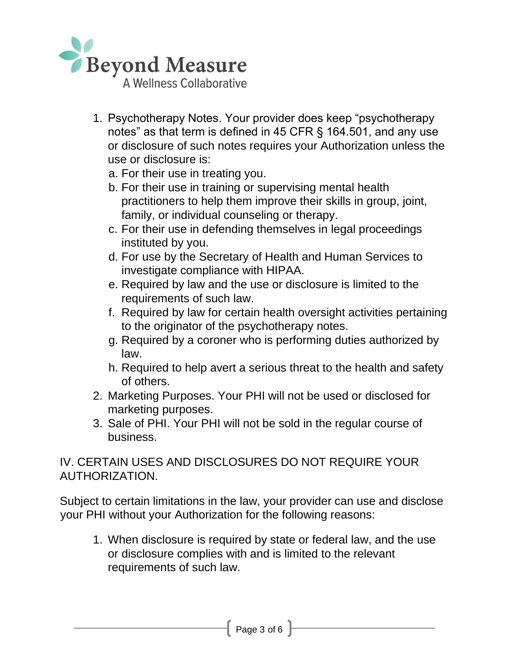

- 1. Psychotherapy Notes. Your provider does keep "psychotherapy notes" as that term is defined in 45 CFR § 164.501, and any use or disclosure of such notes requires your Authorization unless the use or disclosure is:
	- a. For their use in treating you.
	- b. For their use in training or supervising mental health practitioners to help them improve their skills in group, joint, family, or individual counseling or therapy.
	- c. For their use in defending themselves in legal proceedings instituted by you.
	- d. For use by the Secretary of Health and Human Services to investigate compliance with HIPAA.
	- e. Required by law and the use or disclosure is limited to the requirements of such law.
	- f. Required by law for certain health oversight activities pertaining to the originator of the psychotherapy notes.
	- g. Required by a coroner who is performing duties authorized by law.
	- h. Required to help avert a serious threat to the health and safety of others.
- 2. Marketing Purposes. Your PHI will not be used or disclosed for marketing purposes.
- 3. Sale of PHI. Your PHI will not be sold in the regular course of business.

IV. CERTAIN USES AND DISCLOSURES DO NOT REQUIRE YOUR AUTHORIZATION.

Subject to certain limitations in the law, your provider can use and disclose your PHI without your Authorization for the following reasons:

1. When disclosure is required by state or federal law, and the use or disclosure complies with and is limited to the relevant requirements of such law.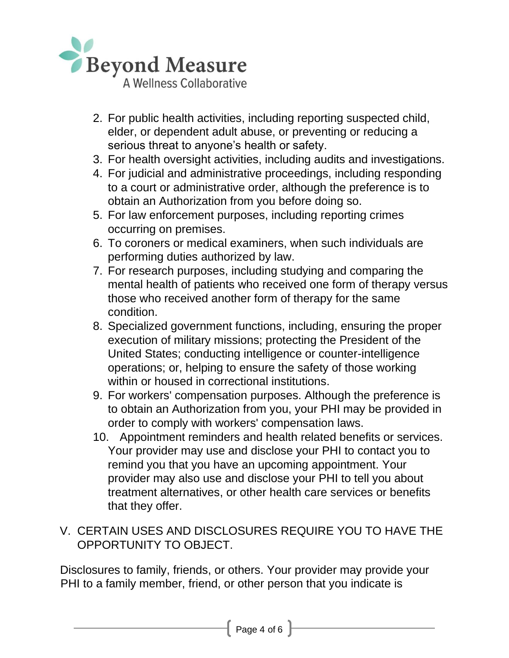

- 2. For public health activities, including reporting suspected child, elder, or dependent adult abuse, or preventing or reducing a serious threat to anyone's health or safety.
- 3. For health oversight activities, including audits and investigations.
- 4. For judicial and administrative proceedings, including responding to a court or administrative order, although the preference is to obtain an Authorization from you before doing so.
- 5. For law enforcement purposes, including reporting crimes occurring on premises.
- 6. To coroners or medical examiners, when such individuals are performing duties authorized by law.
- 7. For research purposes, including studying and comparing the mental health of patients who received one form of therapy versus those who received another form of therapy for the same condition.
- 8. Specialized government functions, including, ensuring the proper execution of military missions; protecting the President of the United States; conducting intelligence or counter-intelligence operations; or, helping to ensure the safety of those working within or housed in correctional institutions.
- 9. For workers' compensation purposes. Although the preference is to obtain an Authorization from you, your PHI may be provided in order to comply with workers' compensation laws.
- 10. Appointment reminders and health related benefits or services. Your provider may use and disclose your PHI to contact you to remind you that you have an upcoming appointment. Your provider may also use and disclose your PHI to tell you about treatment alternatives, or other health care services or benefits that they offer.

# V. CERTAIN USES AND DISCLOSURES REQUIRE YOU TO HAVE THE OPPORTUNITY TO OBJECT.

Disclosures to family, friends, or others. Your provider may provide your PHI to a family member, friend, or other person that you indicate is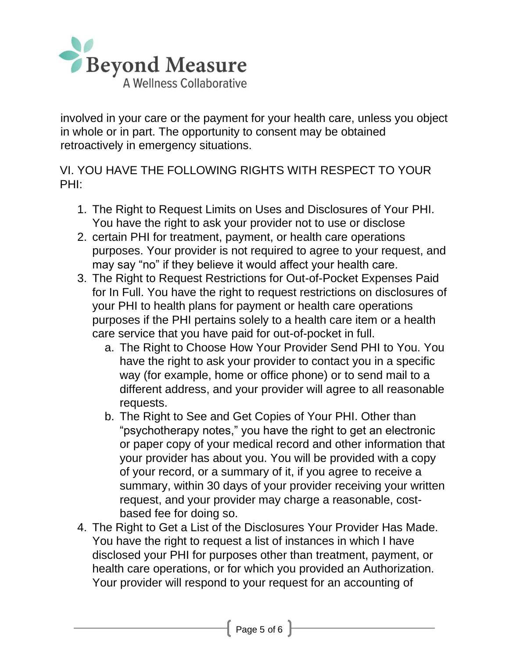

involved in your care or the payment for your health care, unless you object in whole or in part. The opportunity to consent may be obtained retroactively in emergency situations.

VI. YOU HAVE THE FOLLOWING RIGHTS WITH RESPECT TO YOUR PHI:

- 1. The Right to Request Limits on Uses and Disclosures of Your PHI. You have the right to ask your provider not to use or disclose
- 2. certain PHI for treatment, payment, or health care operations purposes. Your provider is not required to agree to your request, and may say "no" if they believe it would affect your health care.
- 3. The Right to Request Restrictions for Out-of-Pocket Expenses Paid for In Full. You have the right to request restrictions on disclosures of your PHI to health plans for payment or health care operations purposes if the PHI pertains solely to a health care item or a health care service that you have paid for out-of-pocket in full.
	- a. The Right to Choose How Your Provider Send PHI to You. You have the right to ask your provider to contact you in a specific way (for example, home or office phone) or to send mail to a different address, and your provider will agree to all reasonable requests.
	- b. The Right to See and Get Copies of Your PHI. Other than "psychotherapy notes," you have the right to get an electronic or paper copy of your medical record and other information that your provider has about you. You will be provided with a copy of your record, or a summary of it, if you agree to receive a summary, within 30 days of your provider receiving your written request, and your provider may charge a reasonable, costbased fee for doing so.
- 4. The Right to Get a List of the Disclosures Your Provider Has Made. You have the right to request a list of instances in which I have disclosed your PHI for purposes other than treatment, payment, or health care operations, or for which you provided an Authorization. Your provider will respond to your request for an accounting of